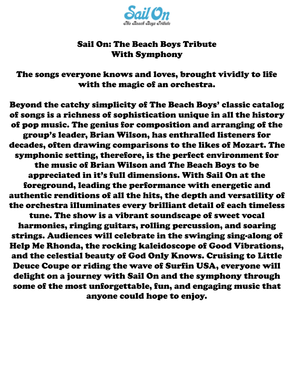

## Sail On: The Beach Boys Tribute With Symphony

The songs everyone knows and loves, brought vividly to life with the magic of an orchestra.

Beyond the catchy simplicity of The Beach Boys' classic catalog of songs is a richness of sophistication unique in all the history of pop music. The genius for composition and arranging of the group's leader, Brian Wilson, has enthralled listeners for decades, often drawing comparisons to the likes of Mozart. The symphonic setting, therefore, is the perfect environment for the music of Brian Wilson and The Beach Boys to be appreciated in it's full dimensions. With Sail On at the foreground, leading the performance with energetic and authentic renditions of all the hits, the depth and versatility of the orchestra illuminates every brilliant detail of each timeless tune. The show is a vibrant soundscape of sweet vocal

harmonies, ringing guitars, rolling percussion, and soaring strings. Audiences will celebrate in the swinging sing-along of Help Me Rhonda, the rocking kaleidoscope of Good Vibrations, and the celestial beauty of God Only Knows. Cruising to Little Deuce Coupe or riding the wave of Surfin USA, everyone will delight on a journey with Sail On and the symphony through some of the most unforgettable, fun, and engaging music that anyone could hope to enjoy.